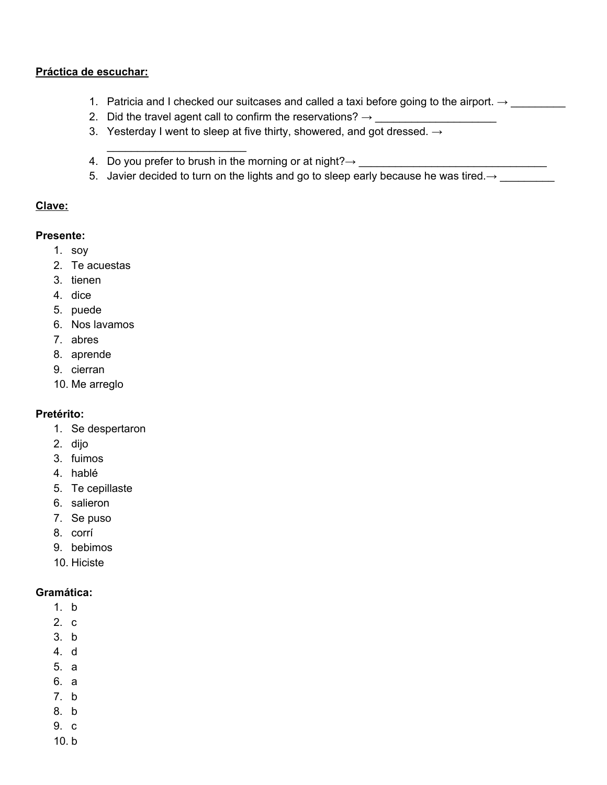### Práctica de escuchar:

- 1. Patricia and I checked our suitcases and called a taxi before going to the airport.  $\rightarrow$
- 2. Did the travel agent call to confirm the reservations?  $\rightarrow$
- 3. Yesterday I went to sleep at five thirty, showered, and got dressed.  $\rightarrow$
- 4. Do you prefer to brush in the morning or at night? $\rightarrow$  \_\_\_\_\_\_\_\_\_
- 5. Javier decided to turn on the lights and go to sleep early because he was tired. $\rightarrow$

#### Clave:

### **Presente:**

- $1.$  soy
- 2. Te acuestas
- 3. tienen
- 4. dice
- 5. puede
- 6. Nos lavamos
- 7. abres
- 8. aprende
- 9. cierran
- 10. Me arreglo

## Pretérito:

- 1. Se despertaron
- 2. dijo
- 3. fuimos
- 4. hablé
- 5. Te cepillaste
- 6. salieron
- 7. Se puso
- 8. corrí
- 9. bebimos
- 10. Hiciste

#### Gramática:

- $1<sub>h</sub>$
- $2c$
- $3. b$
- $4$  d
- 5. a
- 6. a
- $7. b$
- 8. b
- 9. c
- $10.b$